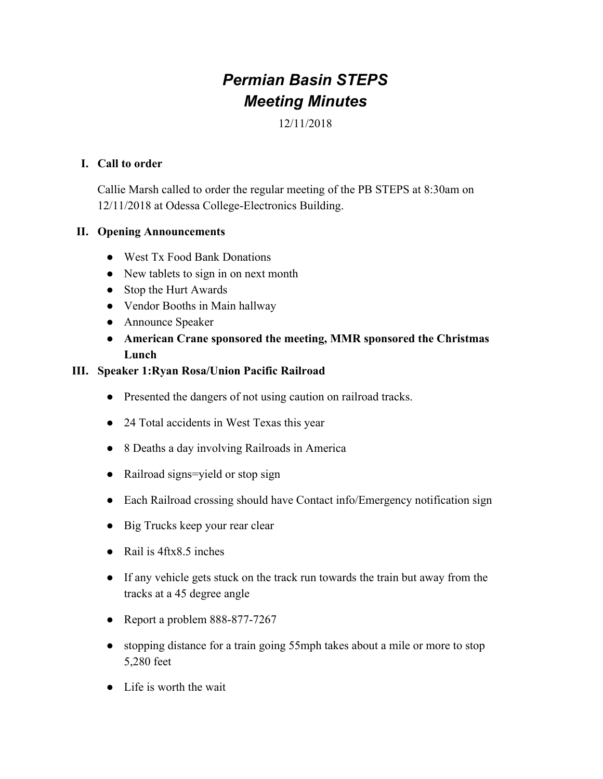# *Permian Basin STEPS Meeting Minutes*

12/11/2018

#### **I. Call to order**

Callie Marsh called to order the regular meeting of the PB STEPS at 8:30am on 12/11/2018 at Odessa College-Electronics Building.

### **II. Opening Announcements**

- West Tx Food Bank Donations
- New tablets to sign in on next month
- Stop the Hurt Awards
- Vendor Booths in Main hallway
- Announce Speaker
- **● American Crane sponsored the meeting, MMR sponsored the Christmas Lunch**

#### **III. Speaker 1:Ryan Rosa/Union Pacific Railroad**

- Presented the dangers of not using caution on railroad tracks.
- 24 Total accidents in West Texas this year
- 8 Deaths a day involving Railroads in America
- Railroad signs=yield or stop sign
- Each Railroad crossing should have Contact info/Emergency notification sign
- Big Trucks keep your rear clear
- Rail is 4ftx8.5 inches
- If any vehicle gets stuck on the track run towards the train but away from the tracks at a 45 degree angle
- Report a problem 888-877-7267
- stopping distance for a train going 55mph takes about a mile or more to stop 5,280 feet
- Life is worth the wait